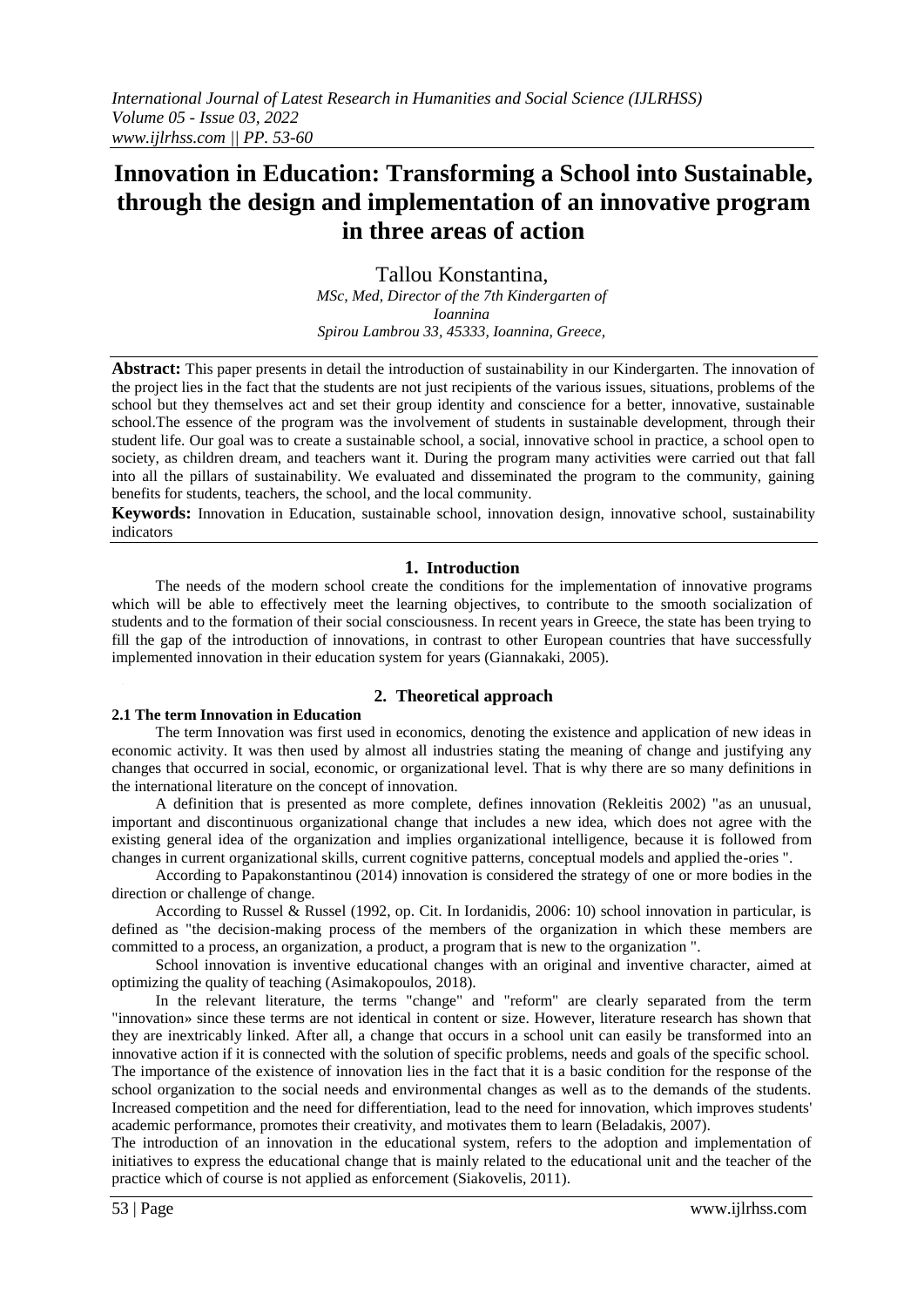# **Innovation in Education: Transforming a School into Sustainable, through the design and implementation of an innovative program in three areas of action**

Tallou Konstantina, *MSc, Med, Director of the 7th Kindergarten of Ioannina Spirou Lambrou 33, 45333, Ioannina, Greece,* 

**Abstract:** This paper presents in detail the introduction of sustainability in our Kindergarten. The innovation of the project lies in the fact that the students are not just recipients of the various issues, situations, problems of the school but they themselves act and set their group identity and conscience for a better, innovative, sustainable school.The essence of the program was the involvement of students in sustainable development, through their student life. Our goal was to create a sustainable school, a social, innovative school in practice, a school open to society, as children dream, and teachers want it. During the program many activities were carried out that fall into all the pillars of sustainability. We evaluated and disseminated the program to the community, gaining benefits for students, teachers, the school, and the local community.

**Keywords:** Innovation in Education, sustainable school, innovation design, innovative school, sustainability indicators

#### **1. Introduction**

The needs of the modern school create the conditions for the implementation of innovative programs which will be able to effectively meet the learning objectives, to contribute to the smooth socialization of students and to the formation of their social consciousness. In recent years in Greece, the state has been trying to fill the gap of the introduction of innovations, in contrast to other European countries that have successfully implemented innovation in their education system for years (Giannakaki, 2005).

## **2. Theoretical approach**

#### **2.1 The term Innovation in Education**

The term Innovation was first used in economics, denoting the existence and application of new ideas in economic activity. It was then used by almost all industries stating the meaning of change and justifying any changes that occurred in social, economic, or organizational level. That is why there are so many definitions in the international literature on the concept of innovation.

A definition that is presented as more complete, defines innovation (Rekleitis 2002) "as an unusual, important and discontinuous organizational change that includes a new idea, which does not agree with the existing general idea of the organization and implies organizational intelligence, because it is followed from changes in current organizational skills, current cognitive patterns, conceptual models and applied the-ories ".

According to Papakonstantinou (2014) innovation is considered the strategy of one or more bodies in the direction or challenge of change.

According to Russel & Russel (1992, op. Cit. In Iordanidis, 2006: 10) school innovation in particular, is defined as "the decision-making process of the members of the organization in which these members are committed to a process, an organization, a product, a program that is new to the organization ".

School innovation is inventive educational changes with an original and inventive character, aimed at optimizing the quality of teaching (Asimakopoulos, 2018).

In the relevant literature, the terms "change" and "reform" are clearly separated from the term "innovation» since these terms are not identical in content or size. However, literature research has shown that they are inextricably linked. After all, a change that occurs in a school unit can easily be transformed into an innovative action if it is connected with the solution of specific problems, needs and goals of the specific school. The importance of the existence of innovation lies in the fact that it is a basic condition for the response of the school organization to the social needs and environmental changes as well as to the demands of the students. Increased competition and the need for differentiation, lead to the need for innovation, which improves students' academic performance, promotes their creativity, and motivates them to learn (Beladakis, 2007).

The introduction of an innovation in the educational system, refers to the adoption and implementation of initiatives to express the educational change that is mainly related to the educational unit and the teacher of the practice which of course is not applied as enforcement (Siakovelis, 2011).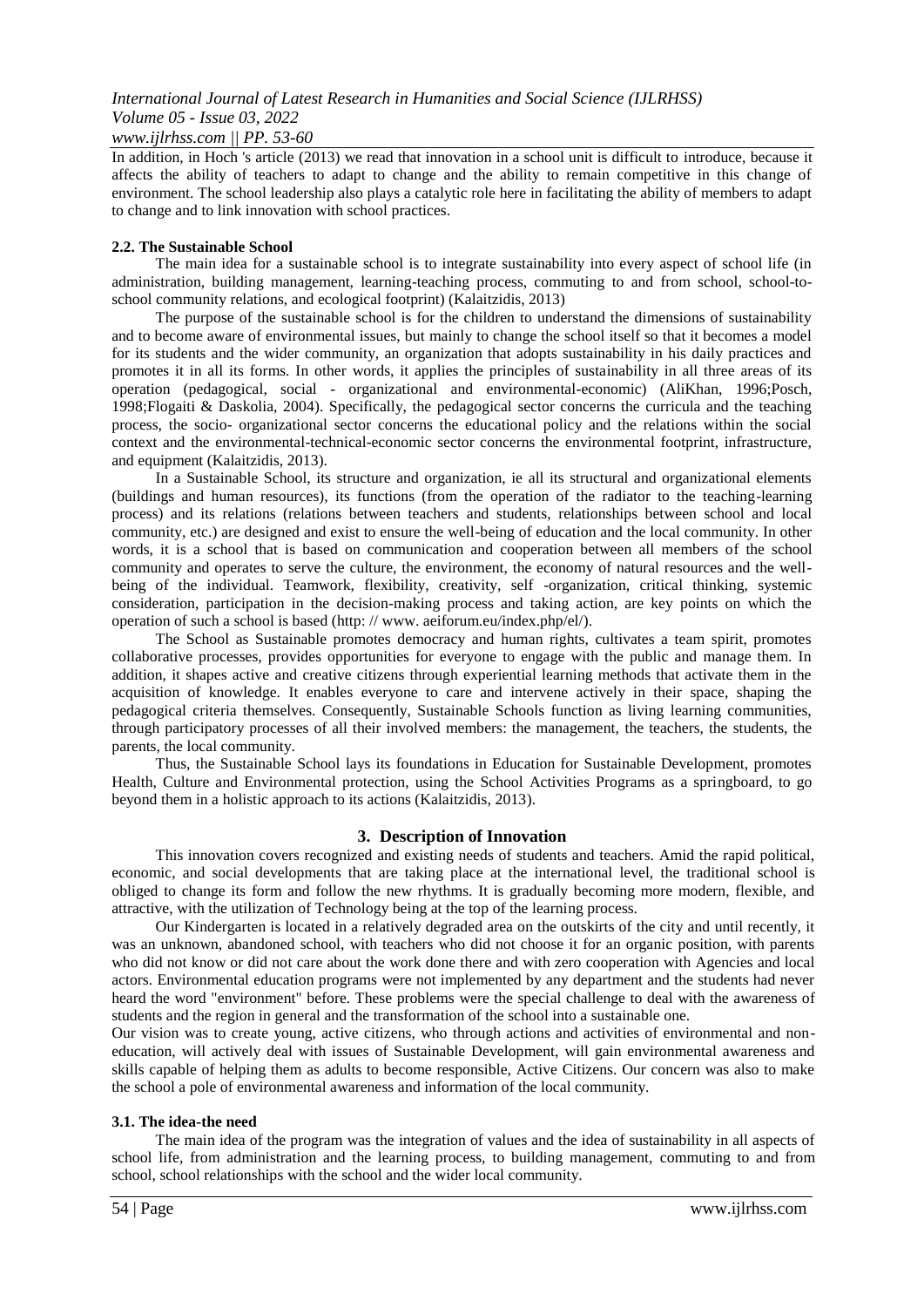#### *www.ijlrhss.com || PP. 53-60*

In addition, in Hoch 's article (2013) we read that innovation in a school unit is difficult to introduce, because it affects the ability of teachers to adapt to change and the ability to remain competitive in this change of environment. The school leadership also plays a catalytic role here in facilitating the ability of members to adapt to change and to link innovation with school practices.

#### **2.2. The Sustainable School**

The main idea for a sustainable school is to integrate sustainability into every aspect of school life (in administration, building management, learning-teaching process, commuting to and from school, school-toschool community relations, and ecological footprint) (Kalaitzidis, 2013)

The purpose of the sustainable school is for the children to understand the dimensions of sustainability and to become aware of environmental issues, but mainly to change the school itself so that it becomes a model for its students and the wider community, an organization that adopts sustainability in his daily practices and promotes it in all its forms. In other words, it applies the principles of sustainability in all three areas of its operation (pedagogical, social - organizational and environmental-economic) (AliKhan, 1996;Posch, 1998;Flogaiti & Daskolia, 2004). Specifically, the pedagogical sector concerns the curricula and the teaching process, the socio- organizational sector concerns the educational policy and the relations within the social context and the environmental-technical-economic sector concerns the environmental footprint, infrastructure, and equipment (Kalaitzidis, 2013).

In a Sustainable School, its structure and organization, ie all its structural and organizational elements (buildings and human resources), its functions (from the operation of the radiator to the teaching-learning process) and its relations (relations between teachers and students, relationships between school and local community, etc.) are designed and exist to ensure the well-being of education and the local community. In other words, it is a school that is based on communication and cooperation between all members of the school community and operates to serve the culture, the environment, the economy of natural resources and the wellbeing of the individual. Teamwork, flexibility, creativity, self -organization, critical thinking, systemic consideration, participation in the decision-making process and taking action, are key points on which the operation of such a school is based (http: // www. aeiforum.eu/index.php/el/).

The School as Sustainable promotes democracy and human rights, cultivates a team spirit, promotes collaborative processes, provides opportunities for everyone to engage with the public and manage them. In addition, it shapes active and creative citizens through experiential learning methods that activate them in the acquisition of knowledge. It enables everyone to care and intervene actively in their space, shaping the pedagogical criteria themselves. Consequently, Sustainable Schools function as living learning communities, through participatory processes of all their involved members: the management, the teachers, the students, the parents, the local community.

Thus, the Sustainable School lays its foundations in Education for Sustainable Development, promotes Health, Culture and Environmental protection, using the School Activities Programs as a springboard, to go beyond them in a holistic approach to its actions (Kalaitzidis, 2013).

#### **3. Description of Innovation**

This innovation covers recognized and existing needs of students and teachers. Amid the rapid political, economic, and social developments that are taking place at the international level, the traditional school is obliged to change its form and follow the new rhythms. It is gradually becoming more modern, flexible, and attractive, with the utilization of Technology being at the top of the learning process.

Our Kindergarten is located in a relatively degraded area on the outskirts of the city and until recently, it was an unknown, abandoned school, with teachers who did not choose it for an organic position, with parents who did not know or did not care about the work done there and with zero cooperation with Agencies and local actors. Environmental education programs were not implemented by any department and the students had never heard the word "environment" before. These problems were the special challenge to deal with the awareness of students and the region in general and the transformation of the school into a sustainable one.

Our vision was to create young, active citizens, who through actions and activities of environmental and noneducation, will actively deal with issues of Sustainable Development, will gain environmental awareness and skills capable of helping them as adults to become responsible, Active Citizens. Our concern was also to make the school a pole of environmental awareness and information of the local community.

#### **3.1. The idea-the need**

The main idea of the program was the integration of values and the idea of sustainability in all aspects of school life, from administration and the learning process, to building management, commuting to and from school, school relationships with the school and the wider local community.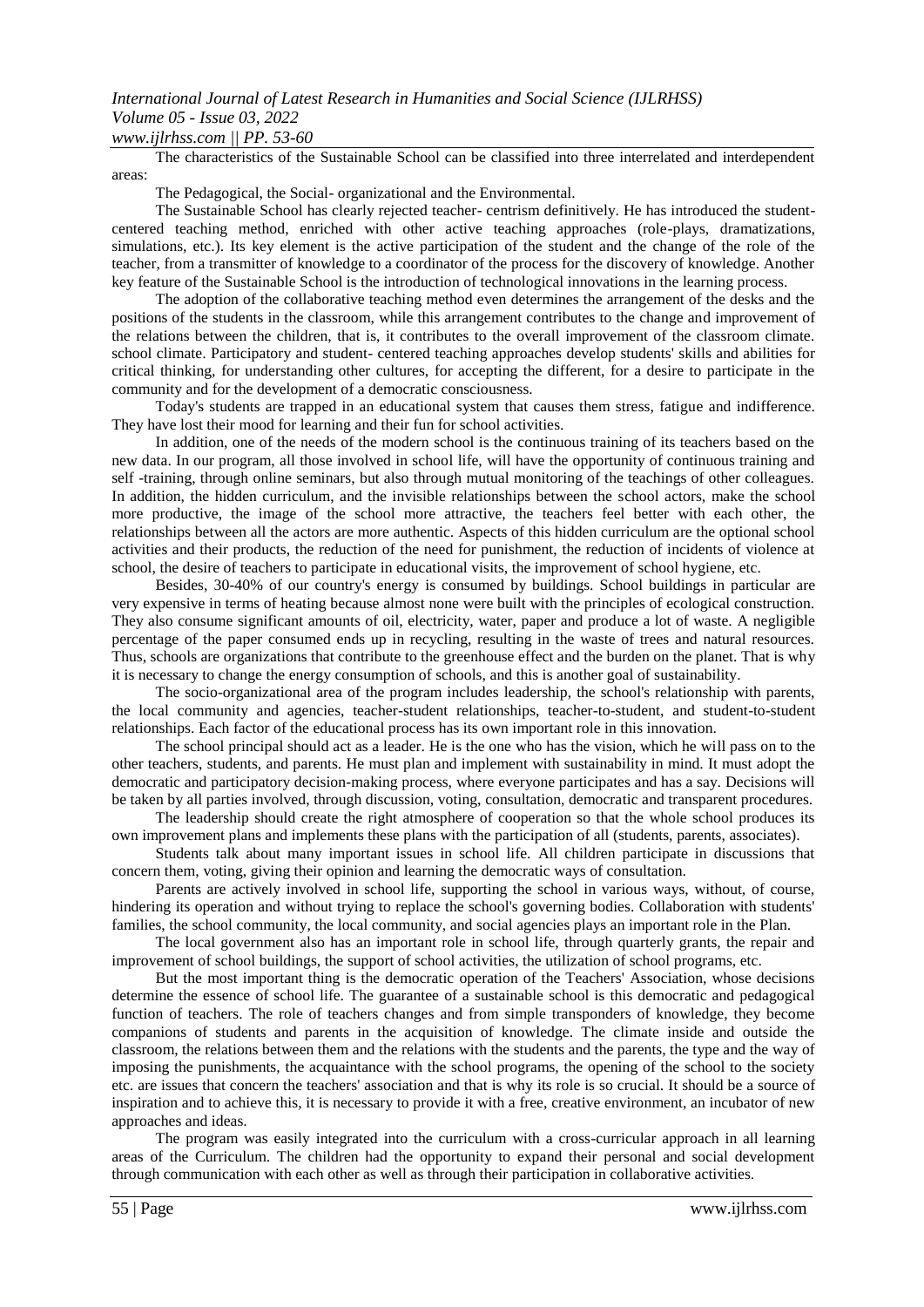## The characteristics of the Sustainable School can be classified into three interrelated and interdependent

areas:

The Pedagogical, the Social- organizational and the Environmental.

The Sustainable School has clearly rejected teacher- centrism definitively. He has introduced the studentcentered teaching method, enriched with other active teaching approaches (role-plays, dramatizations, simulations, etc.). Its key element is the active participation of the student and the change of the role of the teacher, from a transmitter of knowledge to a coordinator of the process for the discovery of knowledge. Another key feature of the Sustainable School is the introduction of technological innovations in the learning process.

The adoption of the collaborative teaching method even determines the arrangement of the desks and the positions of the students in the classroom, while this arrangement contributes to the change and improvement of the relations between the children, that is, it contributes to the overall improvement of the classroom climate. school climate. Participatory and student- centered teaching approaches develop students' skills and abilities for critical thinking, for understanding other cultures, for accepting the different, for a desire to participate in the community and for the development of a democratic consciousness.

Today's students are trapped in an educational system that causes them stress, fatigue and indifference. They have lost their mood for learning and their fun for school activities.

In addition, one of the needs of the modern school is the continuous training of its teachers based on the new data. In our program, all those involved in school life, will have the opportunity of continuous training and self -training, through online seminars, but also through mutual monitoring of the teachings of other colleagues. In addition, the hidden curriculum, and the invisible relationships between the school actors, make the school more productive, the image of the school more attractive, the teachers feel better with each other, the relationships between all the actors are more authentic. Aspects of this hidden curriculum are the optional school activities and their products, the reduction of the need for punishment, the reduction of incidents of violence at school, the desire of teachers to participate in educational visits, the improvement of school hygiene, etc.

Besides, 30-40% of our country's energy is consumed by buildings. School buildings in particular are very expensive in terms of heating because almost none were built with the principles of ecological construction. They also consume significant amounts of oil, electricity, water, paper and produce a lot of waste. A negligible percentage of the paper consumed ends up in recycling, resulting in the waste of trees and natural resources. Thus, schools are organizations that contribute to the greenhouse effect and the burden on the planet. That is why it is necessary to change the energy consumption of schools, and this is another goal of sustainability.

The socio-organizational area of the program includes leadership, the school's relationship with parents, the local community and agencies, teacher-student relationships, teacher-to-student, and student-to-student relationships. Each factor of the educational process has its own important role in this innovation.

The school principal should act as a leader. He is the one who has the vision, which he will pass on to the other teachers, students, and parents. He must plan and implement with sustainability in mind. It must adopt the democratic and participatory decision-making process, where everyone participates and has a say. Decisions will be taken by all parties involved, through discussion, voting, consultation, democratic and transparent procedures.

The leadership should create the right atmosphere of cooperation so that the whole school produces its own improvement plans and implements these plans with the participation of all (students, parents, associates).

Students talk about many important issues in school life. All children participate in discussions that concern them, voting, giving their opinion and learning the democratic ways of consultation.

Parents are actively involved in school life, supporting the school in various ways, without, of course, hindering its operation and without trying to replace the school's governing bodies. Collaboration with students' families, the school community, the local community, and social agencies plays an important role in the Plan.

The local government also has an important role in school life, through quarterly grants, the repair and improvement of school buildings, the support of school activities, the utilization of school programs, etc.

But the most important thing is the democratic operation of the Teachers' Association, whose decisions determine the essence of school life. The guarantee of a sustainable school is this democratic and pedagogical function of teachers. The role of teachers changes and from simple transponders of knowledge, they become companions of students and parents in the acquisition of knowledge. The climate inside and outside the classroom, the relations between them and the relations with the students and the parents, the type and the way of imposing the punishments, the acquaintance with the school programs, the opening of the school to the society etc. are issues that concern the teachers' association and that is why its role is so crucial. It should be a source of inspiration and to achieve this, it is necessary to provide it with a free, creative environment, an incubator of new approaches and ideas.

The program was easily integrated into the curriculum with a cross-curricular approach in all learning areas of the Curriculum. The children had the opportunity to expand their personal and social development through communication with each other as well as through their participation in collaborative activities.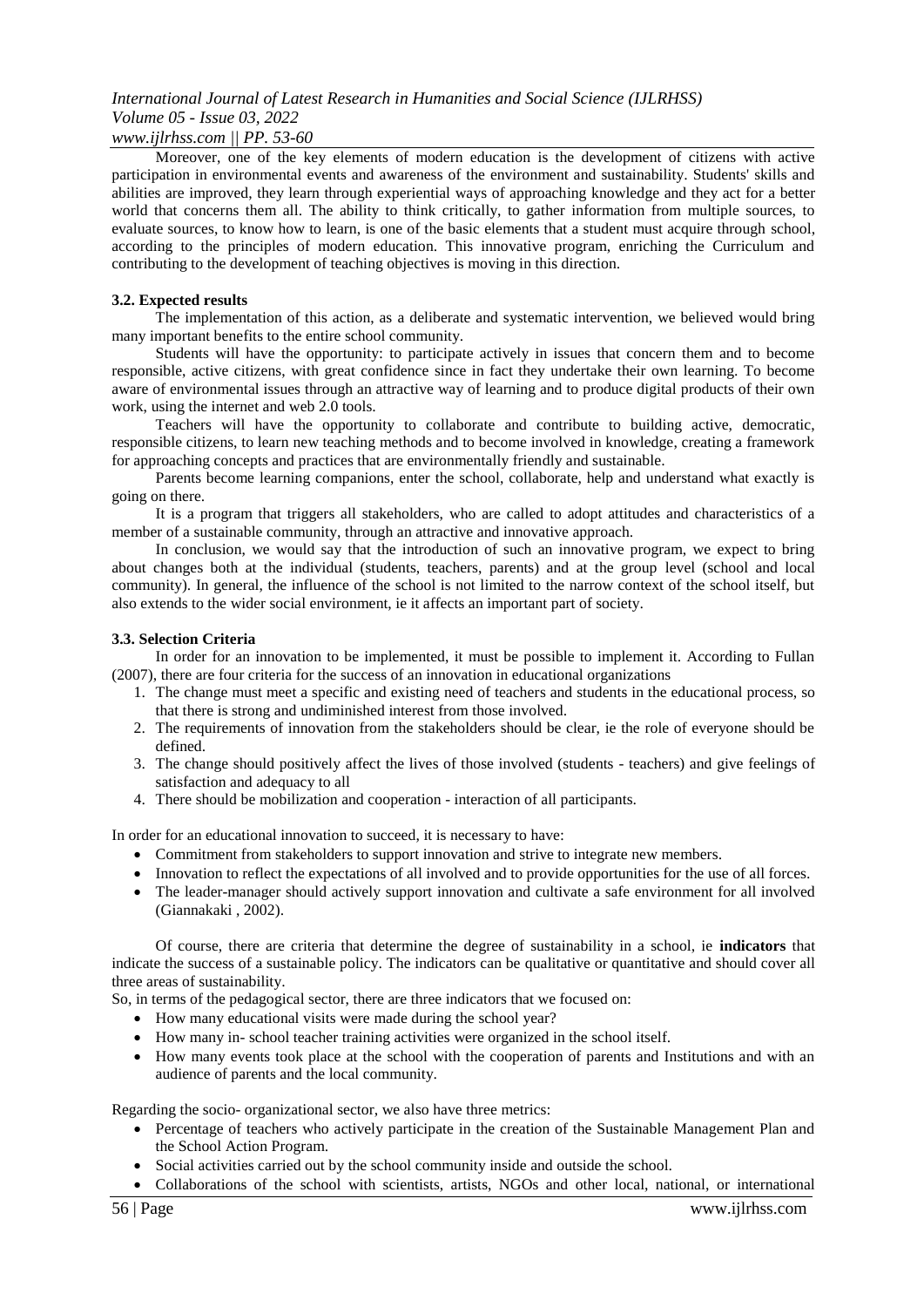#### *www.ijlrhss.com || PP. 53-60*

Moreover, one of the key elements of modern education is the development of citizens with active participation in environmental events and awareness of the environment and sustainability. Students' skills and abilities are improved, they learn through experiential ways of approaching knowledge and they act for a better world that concerns them all. The ability to think critically, to gather information from multiple sources, to evaluate sources, to know how to learn, is one of the basic elements that a student must acquire through school, according to the principles of modern education. This innovative program, enriching the Curriculum and contributing to the development of teaching objectives is moving in this direction.

#### **3.2. Expected results**

The implementation of this action, as a deliberate and systematic intervention, we believed would bring many important benefits to the entire school community.

Students will have the opportunity: to participate actively in issues that concern them and to become responsible, active citizens, with great confidence since in fact they undertake their own learning. To become aware of environmental issues through an attractive way of learning and to produce digital products of their own work, using the internet and web 2.0 tools.

Teachers will have the opportunity to collaborate and contribute to building active, democratic, responsible citizens, to learn new teaching methods and to become involved in knowledge, creating a framework for approaching concepts and practices that are environmentally friendly and sustainable.

Parents become learning companions, enter the school, collaborate, help and understand what exactly is going on there.

It is a program that triggers all stakeholders, who are called to adopt attitudes and characteristics of a member of a sustainable community, through an attractive and innovative approach.

In conclusion, we would say that the introduction of such an innovative program, we expect to bring about changes both at the individual (students, teachers, parents) and at the group level (school and local community). In general, the influence of the school is not limited to the narrow context of the school itself, but also extends to the wider social environment, ie it affects an important part of society.

#### **3.3. Selection Criteria**

In order for an innovation to be implemented, it must be possible to implement it. According to Fullan (2007), there are four criteria for the success of an innovation in educational organizations

- 1. The change must meet a specific and existing need of teachers and students in the educational process, so that there is strong and undiminished interest from those involved.
- 2. The requirements of innovation from the stakeholders should be clear, ie the role of everyone should be defined.
- 3. The change should positively affect the lives of those involved (students teachers) and give feelings of satisfaction and adequacy to all
- 4. There should be mobilization and cooperation interaction of all participants.

In order for an educational innovation to succeed, it is necessary to have:

- Commitment from stakeholders to support innovation and strive to integrate new members.
- Innovation to reflect the expectations of all involved and to provide opportunities for the use of all forces.
- The leader-manager should actively support innovation and cultivate a safe environment for all involved (Giannakaki , 2002).

Of course, there are criteria that determine the degree of sustainability in a school, ie **indicators** that indicate the success of a sustainable policy. The indicators can be qualitative or quantitative and should cover all three areas of sustainability.

So, in terms of the pedagogical sector, there are three indicators that we focused on:

- How many educational visits were made during the school year?
- How many in- school teacher training activities were organized in the school itself.
- How many events took place at the school with the cooperation of parents and Institutions and with an audience of parents and the local community.

Regarding the socio- organizational sector, we also have three metrics:

- Percentage of teachers who actively participate in the creation of the Sustainable Management Plan and the School Action Program.
- Social activities carried out by the school community inside and outside the school.
- Collaborations of the school with scientists, artists, NGOs and other local, national, or international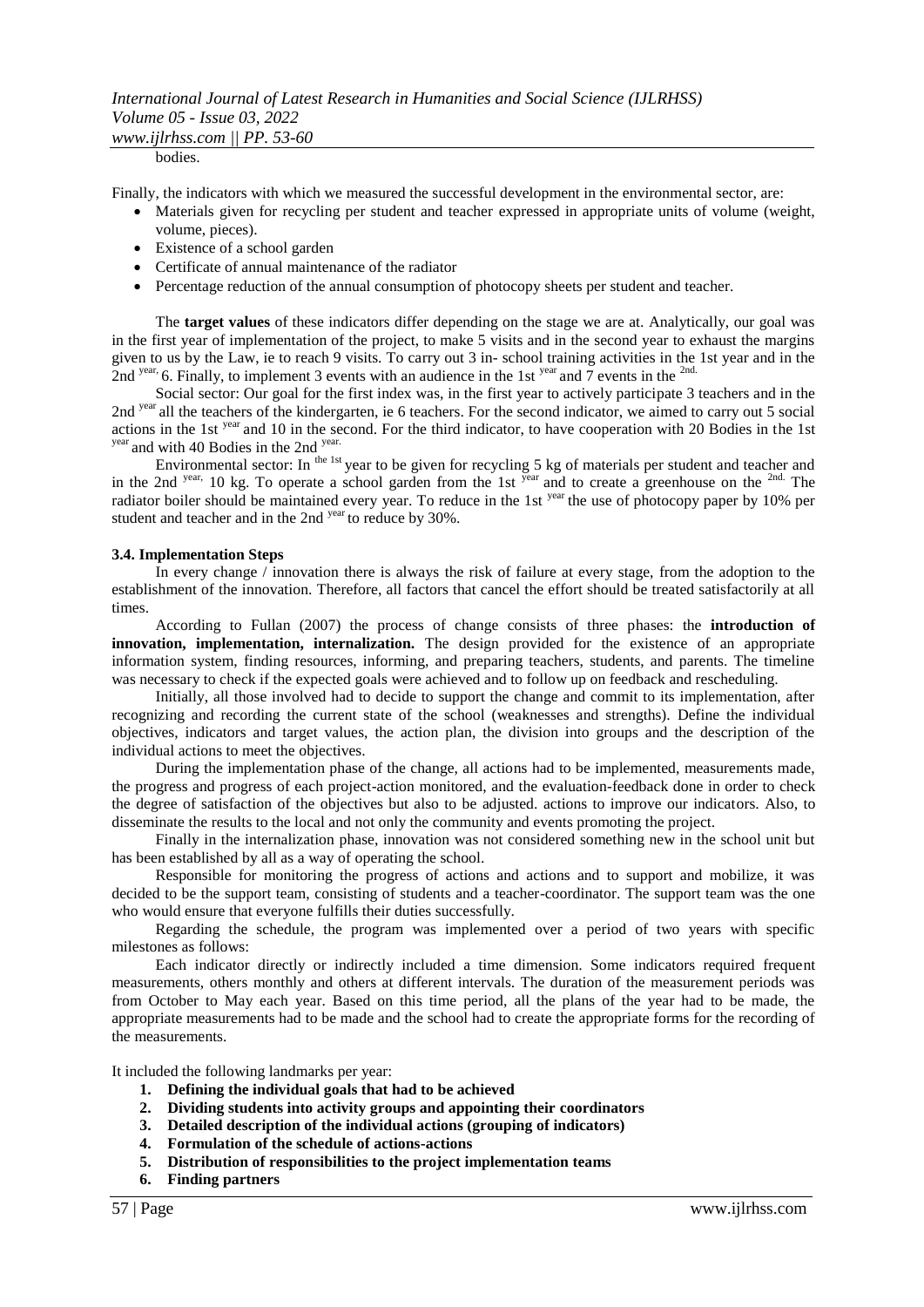#### *www.ijlrhss.com || PP. 53-60*

bodies.

Finally, the indicators with which we measured the successful development in the environmental sector, are:

- Materials given for recycling per student and teacher expressed in appropriate units of volume (weight, volume, pieces).
- Existence of a school garden
- Certificate of annual maintenance of the radiator
- Percentage reduction of the annual consumption of photocopy sheets per student and teacher.

The **target values** of these indicators differ depending on the stage we are at. Analytically, our goal was in the first year of implementation of the project, to make 5 visits and in the second year to exhaust the margins given to us by the Law, ie to reach 9 visits. To carry out 3 in- school training activities in the 1st year and in the 2nd <sup>year</sup>, 6. Finally, to implement 3 events with an audience in the 1st <sup>year</sup> and 7 events in the <sup>2nd.</sup>

Social sector: Our goal for the first index was, in the first year to actively participate 3 teachers and in the 2nd year all the teachers of the kindergarten, ie 6 teachers. For the second indicator, we aimed to carry out 5 social actions in the 1st <sup>year</sup> and 10 in the second. For the third indicator, to have cooperation with 20 Bodies in the 1st year and with 40 Bodies in the 2nd year.

Environmental sector: In <sup>the 1st</sup> year to be given for recycling 5 kg of materials per student and teacher and in the 2nd year, 10 kg. To operate a school garden from the 1st year and to create a greenhouse on the <sup>2nd.</sup> The radiator boiler should be maintained every year. To reduce in the 1st <sup>year</sup> the use of photocopy paper by 10% per student and teacher and in the 2nd <sup>year</sup> to reduce by 30%.

#### **3.4. Implementation Steps**

In every change / innovation there is always the risk of failure at every stage, from the adoption to the establishment of the innovation. Therefore, all factors that cancel the effort should be treated satisfactorily at all times.

According to Fullan (2007) the process of change consists of three phases: the **introduction of innovation, implementation, internalization.** The design provided for the existence of an appropriate information system, finding resources, informing, and preparing teachers, students, and parents. The timeline was necessary to check if the expected goals were achieved and to follow up on feedback and rescheduling.

Initially, all those involved had to decide to support the change and commit to its implementation, after recognizing and recording the current state of the school (weaknesses and strengths). Define the individual objectives, indicators and target values, the action plan, the division into groups and the description of the individual actions to meet the objectives.

During the implementation phase of the change, all actions had to be implemented, measurements made, the progress and progress of each project-action monitored, and the evaluation-feedback done in order to check the degree of satisfaction of the objectives but also to be adjusted. actions to improve our indicators. Also, to disseminate the results to the local and not only the community and events promoting the project.

Finally in the internalization phase, innovation was not considered something new in the school unit but has been established by all as a way of operating the school.

Responsible for monitoring the progress of actions and actions and to support and mobilize, it was decided to be the support team, consisting of students and a teacher-coordinator. The support team was the one who would ensure that everyone fulfills their duties successfully.

Regarding the schedule, the program was implemented over a period of two years with specific milestones as follows:

Each indicator directly or indirectly included a time dimension. Some indicators required frequent measurements, others monthly and others at different intervals. The duration of the measurement periods was from October to May each year. Based on this time period, all the plans of the year had to be made, the appropriate measurements had to be made and the school had to create the appropriate forms for the recording of the measurements.

It included the following landmarks per year:

- **1. Defining the individual goals that had to be achieved**
- **2. Dividing students into activity groups and appointing their coordinators**
- **3. Detailed description of the individual actions (grouping of indicators)**
- **4. Formulation of the schedule of actions-actions**
- **5. Distribution of responsibilities to the project implementation teams**
- **6. Finding partners**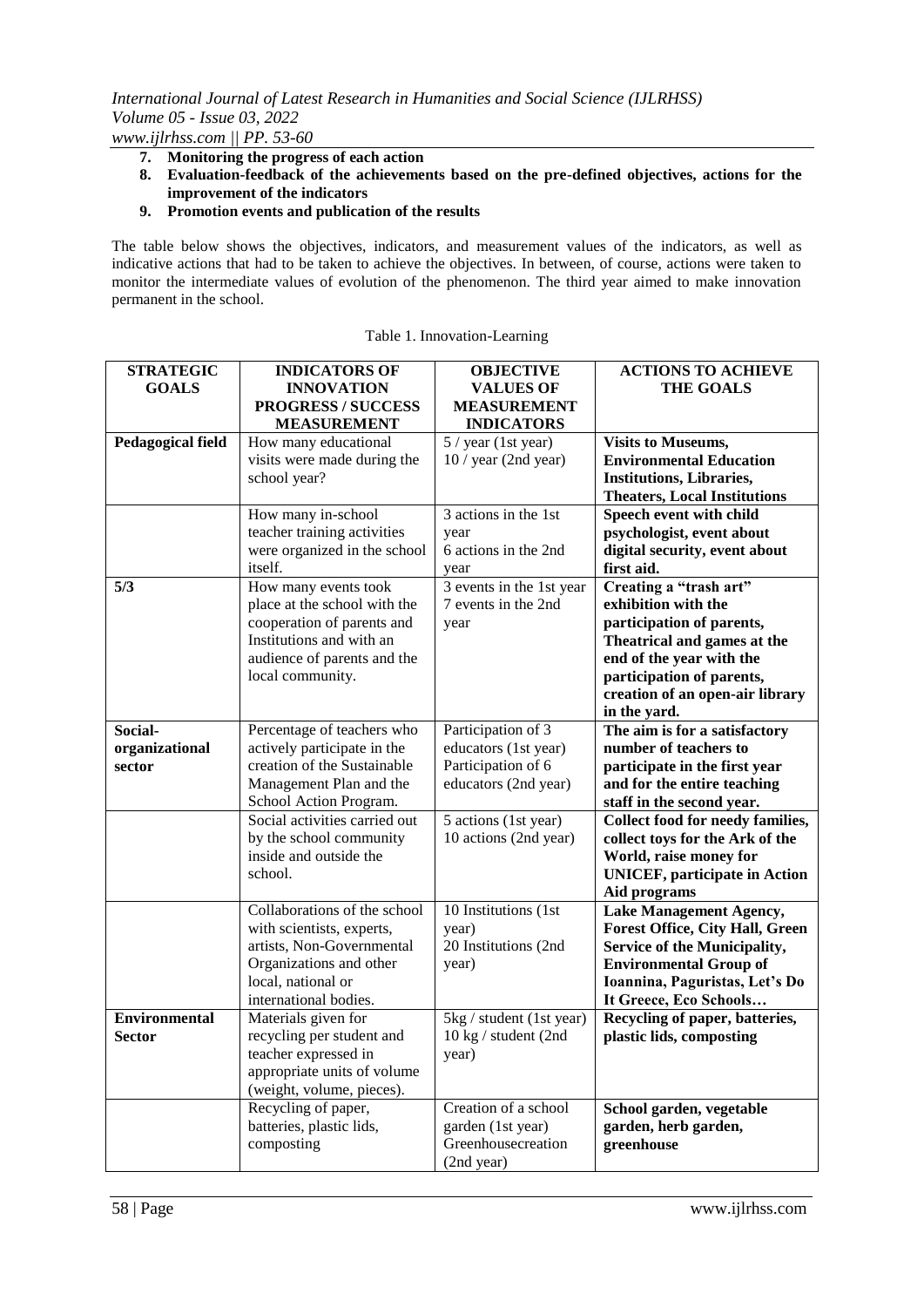*www.ijlrhss.com || PP. 53-60*

- **7. Monitoring the progress of each action**
- **8. Evaluation-feedback of the achievements based on the pre-defined objectives, actions for the improvement of the indicators**
- **9. Promotion events and publication of the results**

The table below shows the objectives, indicators, and measurement values of the indicators, as well as indicative actions that had to be taken to achieve the objectives. In between, of course, actions were taken to monitor the intermediate values of evolution of the phenomenon. The third year aimed to make innovation permanent in the school.

| <b>STRATEGIC</b>         | <b>INDICATORS OF</b>                             | <b>OBJECTIVE</b>                                 | <b>ACTIONS TO ACHIEVE</b>              |
|--------------------------|--------------------------------------------------|--------------------------------------------------|----------------------------------------|
| <b>GOALS</b>             | <b>INNOVATION</b>                                | <b>VALUES OF</b>                                 | <b>THE GOALS</b>                       |
|                          | <b>PROGRESS / SUCCESS</b>                        | <b>MEASUREMENT</b>                               |                                        |
|                          | <b>MEASUREMENT</b>                               | <b>INDICATORS</b>                                |                                        |
| <b>Pedagogical field</b> | How many educational                             | 5 / year (1st year)                              | <b>Visits to Museums,</b>              |
|                          | visits were made during the                      | $10$ / year (2nd year)                           | <b>Environmental Education</b>         |
|                          | school year?                                     |                                                  | <b>Institutions, Libraries,</b>        |
|                          |                                                  |                                                  | <b>Theaters, Local Institutions</b>    |
|                          | How many in-school                               | 3 actions in the 1st                             | Speech event with child                |
|                          | teacher training activities                      | year                                             | psychologist, event about              |
|                          | were organized in the school                     | 6 actions in the 2nd                             | digital security, event about          |
|                          | itself.                                          | year                                             | first aid.                             |
| 5/3                      | How many events took                             | 3 events in the 1st year                         | Creating a "trash art"                 |
|                          | place at the school with the                     | 7 events in the 2nd                              | exhibition with the                    |
|                          | cooperation of parents and                       | year                                             | participation of parents,              |
|                          | Institutions and with an                         |                                                  | Theatrical and games at the            |
|                          | audience of parents and the                      |                                                  | end of the year with the               |
|                          | local community.                                 |                                                  | participation of parents,              |
|                          |                                                  |                                                  | creation of an open-air library        |
|                          |                                                  |                                                  | in the yard.                           |
| Social-                  | Percentage of teachers who                       | Participation of 3                               | The aim is for a satisfactory          |
| organizational           | actively participate in the                      | educators (1st year)                             | number of teachers to                  |
| sector                   | creation of the Sustainable                      | Participation of 6                               | participate in the first year          |
|                          | Management Plan and the                          | educators (2nd year)                             | and for the entire teaching            |
|                          | School Action Program.                           |                                                  | staff in the second year.              |
|                          | Social activities carried out                    | 5 actions (1st year)                             | Collect food for needy families,       |
|                          | by the school community                          | 10 actions (2nd year)                            | collect toys for the Ark of the        |
|                          | inside and outside the                           |                                                  | World, raise money for                 |
|                          | school.                                          |                                                  | <b>UNICEF</b> , participate in Action  |
|                          |                                                  |                                                  | Aid programs                           |
|                          | Collaborations of the school                     | 10 Institutions (1st)                            | Lake Management Agency,                |
|                          | with scientists, experts,                        | year)                                            | <b>Forest Office, City Hall, Green</b> |
|                          | artists, Non-Governmental                        | 20 Institutions (2nd                             | Service of the Municipality,           |
|                          | Organizations and other                          | year)                                            | <b>Environmental Group of</b>          |
|                          | local, national or                               |                                                  | Ioannina, Paguristas, Let's Do         |
| <b>Environmental</b>     | international bodies.                            |                                                  | It Greece, Eco Schools                 |
|                          | Materials given for                              | 5kg / student (1st year)<br>10 kg / student (2nd | Recycling of paper, batteries,         |
| Sector                   | recycling per student and                        |                                                  | plastic lids, composting               |
|                          | teacher expressed in                             | year)                                            |                                        |
|                          | appropriate units of volume                      |                                                  |                                        |
|                          | (weight, volume, pieces).<br>Recycling of paper, | Creation of a school                             | School garden, vegetable               |
|                          | batteries, plastic lids,                         | garden (1st year)                                | garden, herb garden,                   |
|                          | composting                                       | Greenhousecreation                               | greenhouse                             |
|                          |                                                  | (2nd year)                                       |                                        |

| Table 1. Innovation-Learning |
|------------------------------|
|                              |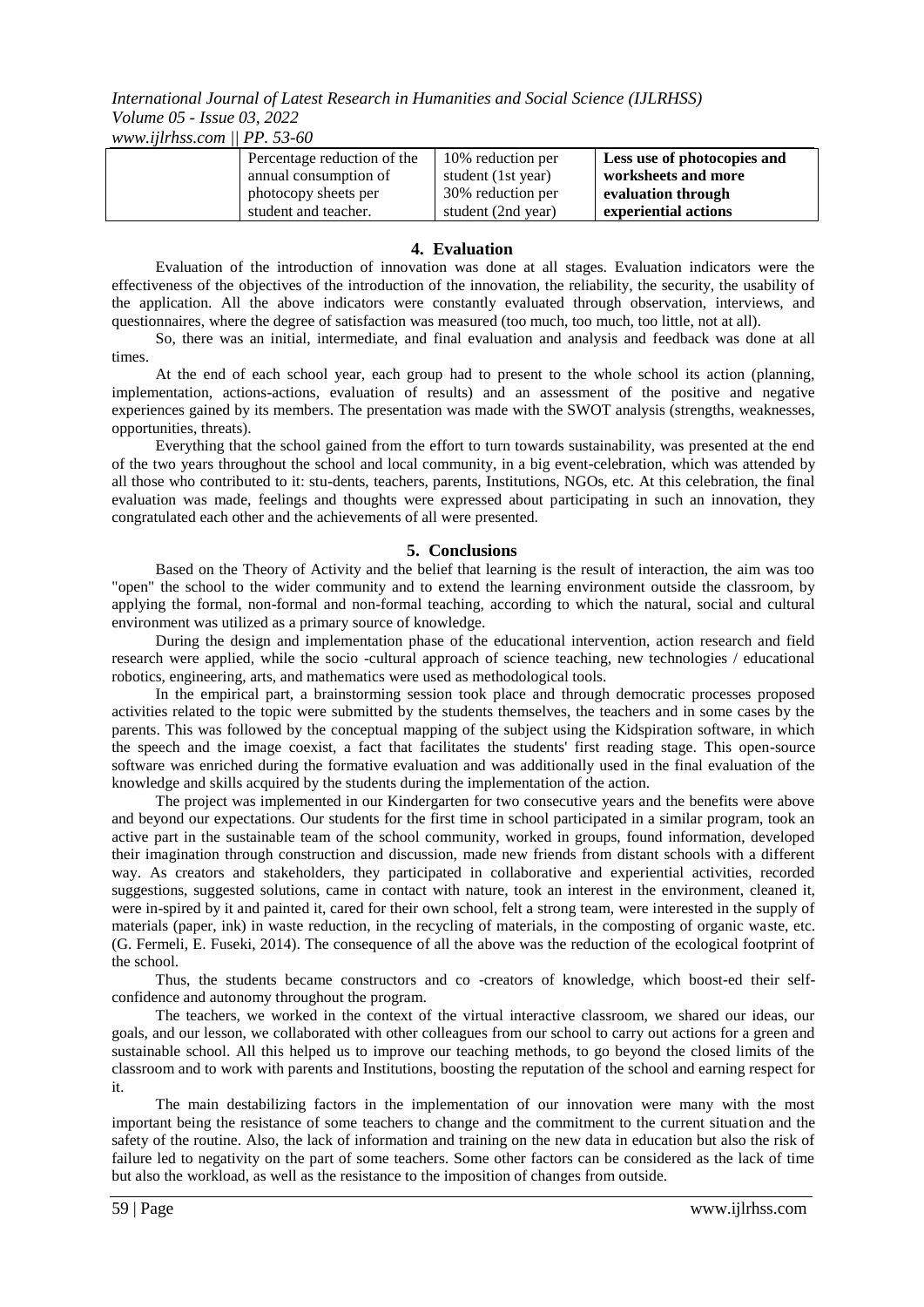*www.ijlrhss.com || PP. 53-60*

| Percentage reduction of the | 10% reduction per  | Less use of photocopies and |
|-----------------------------|--------------------|-----------------------------|
| annual consumption of       | student (1st year) | worksheets and more         |
| photocopy sheets per        | 30% reduction per  | evaluation through          |
| student and teacher.        | student (2nd year) | experiential actions        |

### **4. Evaluation**

Evaluation of the introduction of innovation was done at all stages. Evaluation indicators were the effectiveness of the objectives of the introduction of the innovation, the reliability, the security, the usability of the application. All the above indicators were constantly evaluated through observation, interviews, and questionnaires, where the degree of satisfaction was measured (too much, too much, too little, not at all).

So, there was an initial, intermediate, and final evaluation and analysis and feedback was done at all times.

At the end of each school year, each group had to present to the whole school its action (planning, implementation, actions-actions, evaluation of results) and an assessment of the positive and negative experiences gained by its members. The presentation was made with the SWOT analysis (strengths, weaknesses, opportunities, threats).

Everything that the school gained from the effort to turn towards sustainability, was presented at the end of the two years throughout the school and local community, in a big event-celebration, which was attended by all those who contributed to it: stu-dents, teachers, parents, Institutions, NGOs, etc. At this celebration, the final evaluation was made, feelings and thoughts were expressed about participating in such an innovation, they congratulated each other and the achievements of all were presented.

## **5. Conclusions**

Based on the Theory of Activity and the belief that learning is the result of interaction, the aim was too "open" the school to the wider community and to extend the learning environment outside the classroom, by applying the formal, non-formal and non-formal teaching, according to which the natural, social and cultural environment was utilized as a primary source of knowledge.

During the design and implementation phase of the educational intervention, action research and field research were applied, while the socio -cultural approach of science teaching, new technologies / educational robotics, engineering, arts, and mathematics were used as methodological tools.

In the empirical part, a brainstorming session took place and through democratic processes proposed activities related to the topic were submitted by the students themselves, the teachers and in some cases by the parents. This was followed by the conceptual mapping of the subject using the Kidspiration software, in which the speech and the image coexist, a fact that facilitates the students' first reading stage. This open-source software was enriched during the formative evaluation and was additionally used in the final evaluation of the knowledge and skills acquired by the students during the implementation of the action.

The project was implemented in our Kindergarten for two consecutive years and the benefits were above and beyond our expectations. Our students for the first time in school participated in a similar program, took an active part in the sustainable team of the school community, worked in groups, found information, developed their imagination through construction and discussion, made new friends from distant schools with a different way. As creators and stakeholders, they participated in collaborative and experiential activities, recorded suggestions, suggested solutions, came in contact with nature, took an interest in the environment, cleaned it, were in-spired by it and painted it, cared for their own school, felt a strong team, were interested in the supply of materials (paper, ink) in waste reduction, in the recycling of materials, in the composting of organic waste, etc. (G. Fermeli, E. Fuseki, 2014). The consequence of all the above was the reduction of the ecological footprint of the school.

Thus, the students became constructors and co -creators of knowledge, which boost-ed their selfconfidence and autonomy throughout the program.

The teachers, we worked in the context of the virtual interactive classroom, we shared our ideas, our goals, and our lesson, we collaborated with other colleagues from our school to carry out actions for a green and sustainable school. All this helped us to improve our teaching methods, to go beyond the closed limits of the classroom and to work with parents and Institutions, boosting the reputation of the school and earning respect for it.

The main destabilizing factors in the implementation of our innovation were many with the most important being the resistance of some teachers to change and the commitment to the current situation and the safety of the routine. Also, the lack of information and training on the new data in education but also the risk of failure led to negativity on the part of some teachers. Some other factors can be considered as the lack of time but also the workload, as well as the resistance to the imposition of changes from outside.